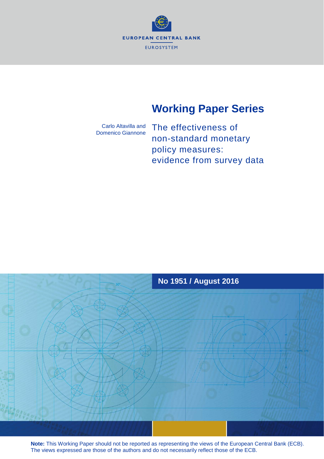

# **Working Paper Series**

Carlo Altavilla and Domenico Giannone

The effectiveness of non-standard monetary policy measures: evidence from survey data



**Note:** This Working Paper should not be reported as representing the views of the European Central Bank (ECB). The views expressed are those of the authors and do not necessarily reflect those of the ECB.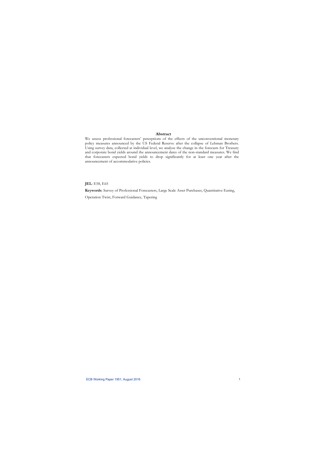## **Abstract**

We assess professional forecasters' perceptions of the effects of the unconventional monetary policy measures announced by the US Federal Reserve after the collapse of Lehman Brothers. Using survey data, collected at individual level, we analyze the change in the forecasts for Treasury and corporate bond yields around the announcement dates of the non-standard measures. We find that forecasters expected bond yields to drop significantly for at least one year after the announcement of accommodative policies.

**JEL**: E58, E65

**Keywords**: Survey of Professional Forecasters, Large Scale Asset Purchases, Quantitative Easing,

Operation Twist, Forward Guidance, Tapering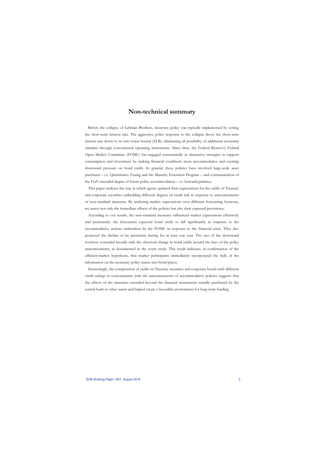## **Non-technical summary**

Before the collapse of Lehman Brothers, monetary policy was typically implemented by setting the short-term interest rate. The aggressive policy response to the collapse drove the short-term interest rate down to its zero lower bound (ZLB), eliminating all possibility of additional economic stimulus through conventional operating instruments. Since then, the Federal Reserve's Federal Open Market Committee (FOMC) has engaged systematically in alternative strategies to support consumption and investment by making financial conditions more accommodative and exerting downward pressure on bond yields. In general, these policies have involved large-scale asset purchases – i.e. Quantitative Easing and the Maturity Extension Program – and communication of the Fed's intended degree of future policy accommodation – i.e. forward guidance.

This paper analyses the way in which agents updated their expectations for the yields of Treasury and corporate securities embedding different degrees of credit risk in response to announcements of non-standard measures. By analyzing market expectations over different forecasting horizons, we assess not only the immediate effects of the policies but also their expected persistence.

According to our results, the non-standard measures influenced market expectations effectively and persistently: the forecasters expected bond yields to fall significantly in response to the accommodative actions undertaken by the FOMC in response to the financial crisis. They also projected the decline to be persistent, lasting for at least one year. The size of the downward revisions coincided broadly with the observed change in bond yields around the days of the policy announcements, as documented in the event study. This result indicates, in confirmation of the efficient-market hypothesis, that market participants immediately incorporated the bulk of the information on the monetary policy stance into bond prices.

Interestingly, the compression of yields on Treasury securities and corporate bonds with different credit ratings in concomitance with the announcements of accommodative policies suggests that the effects of the measures extended beyond the financial instruments actually purchased by the central bank to other assets and helped create a favorable environment for long-term funding.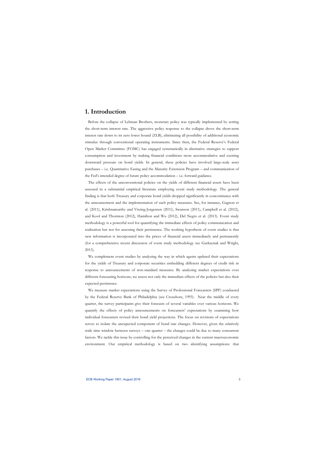## **1. Introduction**

Before the collapse of Lehman Brothers, monetary policy was typically implemented by setting the short-term interest rate. The aggressive policy response to the collapse drove the short-term interest rate down to its zero lower bound (ZLB), eliminating all possibility of additional economic stimulus through conventional operating instruments. Since then, the Federal Reserve's Federal Open Market Committee (FOMC) has engaged systematically in alternative strategies to support consumption and investment by making financial conditions more accommodative and exerting downward pressure on bond yields. In general, these policies have involved large-scale asset purchases – i.e. Quantitative Easing and the Maturity Extension Program – and communication of the Fed's intended degree of future policy accommodation – i.e. forward guidance.

The effects of the unconventional policies on the yields of different financial assets have been assessed in a substantial empirical literature employing event study methodology. The general finding is that both Treasury and corporate bond yields dropped significantly in concomitance with the announcement and the implementation of such policy measures. See, for instance, Gagnon et al. (2011), Krishnamurthy and Vissing-Jorgensen (2011), Swanson (2011), Campbell et al. (2012), and Kool and Thornton (2012), Hamilton and Wu (2012), Del Negro et al. (2013). Event study methodology is a powerful tool for quantifying the immediate effects of policy communication and realization but not for assessing their persistence. The working hypothesis of event studies is that new information is incorporated into the prices of financial assets immediately and permanently (for a comprehensive recent discussion of event study methodology see Gurkaynak and Wright, 2013).

We complement event studies by analyzing the way in which agents updated their expectations for the yields of Treasury and corporate securities embedding different degrees of credit risk in response to announcements of non-standard measures. By analyzing market expectations over different forecasting horizons, we assess not only the immediate effects of the policies but also their expected persistence.

We measure market expectations using the Survey of Professional Forecasters (SPF) conducted by the Federal Reserve Bank of Philadelphia (see Croushore, 1993). Near the middle of every quarter, the survey participants give their forecasts of several variables over various horizons. We quantify the effects of policy announcements on forecasters' expectations by examining how individual forecasters revised their bond yield projections. The focus on revisions of expectations serves to isolate the unexpected component of bond rate changes. However, given the relatively wide time window between surveys – one quarter – the changes could be due to many concurrent factors. We tackle this issue by controlling for the perceived changes in the current macroeconomic environment. Our empirical methodology is based on two identifying assumptions: that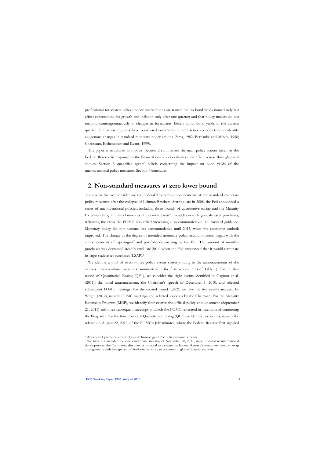professional forecasters believe policy interventions are transmitted to bond yields immediately but affect expectations for growth and inflation only after one quarter; and that policy makers do not respond contemporaneously to changes in forecasters' beliefs about bond yields in the current quarter. Similar assumptions have been used commonly in time series econometrics to identify exogenous changes in standard monetary policy actions (Sims, 1982; Bernanke and Mihov, 1998; Christiano, Eichenbaum and Evans, 1999).

The paper is structured as follows. Section 2 summarizes the main policy actions taken by the Federal Reserve in response to the financial crises and evaluates their effectiveness through event studies. Section 3 quantifies agents' beliefs concerning the impact on bond yields of the unconventional policy measures. Section 4 concludes.

## **2. Non-standard measures at zero lower bound**

The events that we consider are the Federal Reserve's announcements of non-standard monetary policy measures after the collapse of Lehman Brothers. Starting late in 2008, the Fed announced a series of unconventional policies, including three rounds of quantitative easing and the Maturity Extension Program, also known as "Operation Twist". In addition to large-scale asset purchases, following the crisis the FOMC also relied increasingly on communication, i.e. forward guidance. Monetary policy did not become less accommodative until 2013, when the economic outlook improved. The change in the degree of intended monetary policy accommodation began with the announcements of tapering-off and portfolio downsizing by the Fed. The amount of monthly purchases was decreased steadily until late 2014, when the Fed announced that it would terminate its large-scale asset purchases (LSAP).1

We identify a total of twenty-three policy events corresponding to the announcements of the various unconventional measures (summarized in the first two columns of Table 1). For the first round of Quantitative Easing (QE1), we consider the eight events identified in Gagnon et al. (2011): the initial announcement, the Chairman's speech of December 1, 2010, and selected subsequent FOMC meetings. For the second round (QE2), we take the five events analyzed by Wright (2012), namely FOMC meetings and selected speeches by the Chairman. For the Maturity Extension Program (MEP), we identify four events: the official policy announcement (September 21, 2011) and three subsequent meetings at which the FOMC reiterated its intention of continuing the Program**.**2 For the third round of Quantitative Easing (QE3) we identify two events, namely the release on August 22, 2012, of the FOMC's July minutes, where the Federal Reserve first signaled

<sup>&</sup>lt;sup>1</sup> Appendix 1 provides a more detailed chronology of the policy announcements.<br><sup>2</sup> We have not included the videoconference meeting of November 28, 2011, since it related to international developments: the Committee discussed a proposal to increase the Federal Reserve's temporary liquidity swap arrangements with foreign central banks in response to pressures in global financial markets.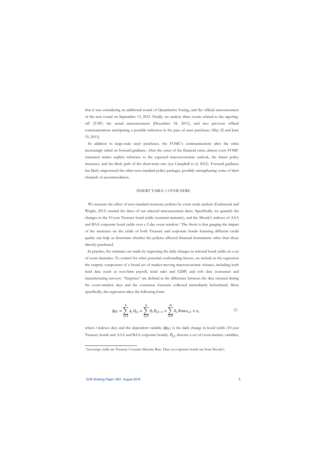that it was considering an additional round of Quantitative Easing, and the official announcement of the new round on September 13, 2012. Finally, we analyze three events related to the taperingoff (TAP): the actual announcement (December 18, 2013), and two previous official communications anticipating a possible reduction in the pace of asset purchases (May 22 and June 19, 2013).

In addition to large-scale asset purchases, the FOMC's communications after the crisis increasingly relied on forward guidance. After the onset of the financial crisis, almost every FOMC statement makes explicit reference to the expected macroeconomic outlook, the future policy measures, and the likely path of the short-term rate (see Campbell et al. 2012). Forward guidance has likely empowered the other non-standard policy packages, possibly strengthening some of their channels of accommodation.

#### INSERT TABLE 1 OVER HERE

We measure the effect of non-standard monetary policies by event study analysis (Gurkaynak and Wright, 2013) around the dates of our selected announcement dates. Specifically, we quantify the changes in the 10-year Treasury bond yields (constant-maturity), and the Moody's indexes of AAA and BAA corporate bond yields over a 2-day event window.3 The thesis is that gauging the impact of the measures on the yields of both Treasury and corporate bonds featuring different credit quality can help us determine whether the policies affected financial instruments other than those directly purchased.

In practice, the estimates are made by regressing the daily changes in selected bond yields on a set of event dummies. To control for other potential confounding factors, we include in the regression the surprise component of a broad set of market-moving macroeconomic releases, including both hard data (such as non-farm payroll, retail sales and GDP) and soft data (consumer and manufacturing surveys). "Surprises" are defined as the difference between the data released during the event-window days and the consensus forecasts collected immediately beforehand. More specifically, the regression takes the following form:

$$
\Delta y_t = \sum_{j=1}^k \lambda_j D_{j,t} + \sum_{j=1}^k \vartheta_j D_{j,t-1} + \sum_{s=1}^m \delta_s News_{s,t} + \varepsilon_t
$$
 (1)

where *t* indexes days and the dependent variable  $(\Delta y_t)$  is the daily change in bond yields (10-year Treasury bonds and AAA and BAA corporate bonds).  $D_{i,t}$  denotes a set of event-dummy variables,

l

<sup>3</sup> Sovereign yields are Treasury Constant Maturity Rate. Data on corporate bonds are from Moody's.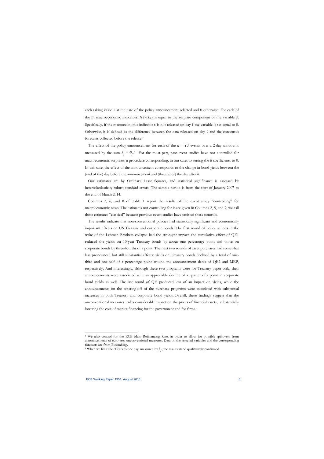each taking value 1 at the date of the policy announcement selected and 0 otherwise. For each of the  $m$  macroeconomic indicators,  $News_{s,t}$  is equal to the surprise component of the variable  $s$ . Specifically, if the macroeconomic indicator  $s$  is not released on day  $t$  the variable is set equal to 0. Otherwise, it is defined as the difference between the data released on day  $t$  and the consensus forecasts collected before the release.4

The effect of the policy announcement for each of the  $k = 23$  events over a 2-day window is measured by the sum  $\lambda_j + \vartheta_j$ .<sup>5</sup> For the most part, past event studies have not controlled for macroeconomic surprises, a procedure corresponding, in our case, to setting the  $\delta$  coefficients to 0. In this case, the effect of the announcement corresponds to the change in bond yields between the (end of the) day before the announcement and (the end of) the day after it.

Our estimates are by Ordinary Least Squares, and statistical significance is assessed by heteroskedasticity-robust standard errors. The sample period is from the start of January 2007 to the end of March 2014.

Columns 3, 6, and 8 of Table 1 report the results of the event study "controlling" for macroeconomic news. The estimates not controlling for it are given in Columns 2, 5, and 7; we call these estimates "classical" because previous event studies have omitted these controls.

The results indicate that non-conventional policies had statistically significant and economically important effects on US Treasury and corporate bonds. The first round of policy actions in the wake of the Lehman Brothers collapse had the strongest impact: the cumulative effect of QE1 reduced the yields on 10-year Treasury bonds by about one percentage point and those on corporate bonds by three-fourths of a point. The next two rounds of asset purchases had somewhat less pronounced but still substantial effects: yields on Treasury bonds declined by a total of onethird and one-half of a percentage point around the announcement dates of QE2 and MEP, respectively. And interestingly, although these two programs were for Treasury paper only, their announcements were associated with an appreciable decline of a quarter of a point in corporate bond yields as well. The last round of QE produced less of an impact on yields, while the announcements on the tapering-off of the purchase programs were associated with substantial increases in both Treasury and corporate bond yields. Overall, these findings suggest that the unconventional measures had a considerable impact on the prices of financial assets, substantially lowering the cost of market financing for the government and for firms.

l

<sup>4</sup> We also control for the ECB Main Refinancing Rate, in order to allow for possible spillovers from announcements of euro-area unconventional measures. Data on the selected variables and the corresponding forecasts are from Bloomberg.

<sup>&</sup>lt;sup>5</sup> When we limit the effects to one day, measured by  $\lambda_i$ , the results stand qualitatively confirmed.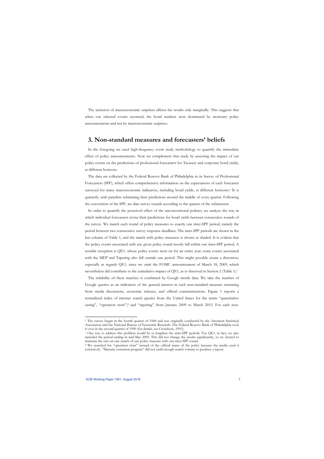The inclusion of macroeconomic surprises affects the results only marginally. This suggests that when our selected events occurred, the bond markets were dominated by monetary policy announcements and not by macroeconomic surprises.

## **3. Non-standard measures and forecasters' beliefs**

In the foregoing we used high-frequency event study methodology to quantify the immediate effect of policy announcements. Now we complement that study by assessing the impact of our policy events on the predictions of professional forecasters for Treasury and corporate bond yields, at different horizons.

The data are collected by the Federal Reserve Bank of Philadelphia in its Survey of Professional Forecasters (SPF), which offers comprehensive information on the expectations of each forecaster surveyed for many macroeconomic indicators, including bond yields, at different horizons.<sup>6</sup> It is quarterly, with panelists submitting their predictions around the middle of every quarter. Following the convention of the SPF, we date survey rounds according to the quarter of the submission.

In order to quantify the perceived effect of the unconventional policies, we analyze the way in which individual forecasters revise their predictions for bond yields between consecutive rounds of the survey. We match each round of policy measures to exactly one inter-SPF period, namely the period between two consecutive survey response deadlines. The inter-SPF periods are shown in the last column of Table 1, and the match with policy measures is shown as shaded. It is evident that the policy events associated with any given policy round mostly fall within one inter-SPF period. A notable exception is QE1, whose policy events went on for an entire year; some events associated with the MEP and Tapering also fall outside one period. This might possibly create a distortion, especially as regards QE1, since we omit the FOMC announcement of March 18, 2009, which nevertheless did contribute to the cumulative impact of QE1, as is observed in Section 2 (Table 1).7

The reliability of these matches is confirmed by Google trends data. We take the number of Google queries as an indication of the general interest in each non-standard measure stemming from media discussions, economic releases, and official communications. Figure 1 reports a normalized index of internet search queries from the United States for the terms "quantitative easing", "operation twist",8 and "tapering" from January 2009 to March 2015. For each non-

<sup>6</sup> The survey began in the fourth quarter of 1968 and was originally conducted by the American Statistical Association and the National Bureau of Economic Research. The Federal Reserve Bank of Philadelphia took it over in the second quarter of 1990 (for details, see Croushore, 1993). 7 One way to address this problem would be to lengthen the inter-SPF periods. For QE1, in fact, we also

included the period ending in mid-May 2009. This did not change the results significantly, so we elected to maintain the one-on-one match of one policy measure with one inter-SPF round.

<sup>8</sup> We searched for "operation twist" instead of the official name of the policy because the media used it extensively. "Maturity extension program" did not yield enough search volume to produce a report.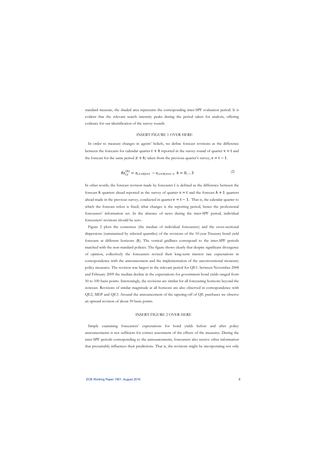standard measure, the shaded area represents the corresponding inter-SPF evaluation period. It is evident that the relevant search intensity peaks during the period taken for analysis, offering evidence for our identification of the survey rounds.

### INSERT FIGURE 1 OVER HERE

In order to measure changes in agents' beliefs, we define forecast revisions as the difference between the forecasts for calendar quarter  $t + h$  reported in the survey round of quarter  $v = t$  and the forecast for the same period  $(t + h)$  taken from the previous quarter's survey,  $v = t - 1$ .

$$
Rz_{i,t}^{(h)} = z_{i,t+h|v=t} - z_{i,t+h|v=t-1} \quad h = 0, \dots 3
$$
 (2)

In other words, the forecast revision made by forecaster  $i$  is defined as the difference between the forecast h quarters ahead reported in the survey of quarter  $v = t$  and the forecast  $h + 1$  quarters ahead made in the previous survey, conducted in quarter  $v = t - 1$ . That is, the calendar quarter to which the forecast refers is fixed; what changes is the reporting period, hence the professional forecasters' information set. In the absence of news during the inter-SPF period, individual forecasters' revisions should be zero.

Figure 2 plots the consensus (the median of individual forecasters) and the cross-sectional dispersions (summarized by selected quantiles) of the revisions of the 10-year Treasury bond yield forecasts at different horizons  $(h)$ . The vertical gridlines correspond to the inter-SPF periods matched with the non-standard policies. The figure shows clearly that despite significant divergence of opinion, collectively the forecasters revised their long-term interest rate expectations in correspondence with the announcement and the implementation of the unconventional monetary policy measures. The revision was largest in the relevant period for QE1: between November 2008 and February 2009 the median decline in the expectations for government bond yields ranged from 50 to 100 basis points. Interestingly, the revisions are similar for all forecasting horizons beyond the nowcast. Revisions of similar magnitude at all horizons are also observed in correspondence with QE2, MEP and QE3. Around the announcement of the tapering-off of QE purchases we observe an upward revision of about 50 basis points.

## INSERT FIGURE 2 OVER HERE

Simply examining forecasters' expectations for bond yields before and after policy announcements is not sufficient for correct assessment of the effects of the measures. During the inter-SPF periods corresponding to the announcements, forecasters also receive other information that presumably influences their predictions. That is, the revisions might be incorporating not only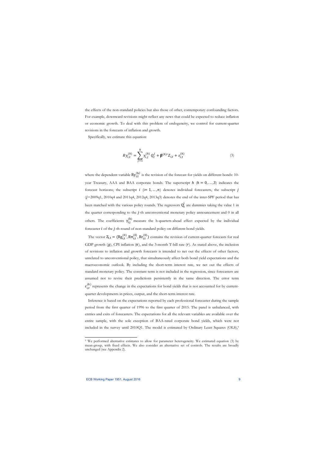the effects of the non-standard policies but also those of other, contemporary confounding factors. For example, downward revisions might reflect any news that could be expected to reduce inflation or economic growth. To deal with this problem of endogeneity, we control for current-quarter revisions in the forecasts of inflation and growth.

Specifically, we estimate this equation:

$$
R y_{i,t}^{(h)} = \sum_{j=1}^{k} \gamma_{i,j}^{(h)} Q_t^j + \beta^{(h)'} Z_{i,t} + \varepsilon_{i,t}^{(h)}
$$
(3)

where the dependent variable  $\text{Ry}^{(h)}_{i,t}$  is the revision of the forecast for yields on different bonds: 10year Treasury, AAA and BAA corporate bonds. The superscript  $h$  ( $h = 0, \ldots, 3$ ) indicates the forecast horizons; the subscript  $i$  (i= 1, ..., n) denotes individual forecasters, the subscript  $j$  $(j=2009q1, 2010q4$  and  $2011q4, 2012q4, 2013q3)$  denotes the end of the inter-SPF period that has been matched with the various policy rounds. The regressors  $Q_t^j$  are dummies taking the value 1 in the quarter corresponding to the  $j$ -th unconventional monetary policy announcement and  $0$  in all others. The coefficients  $\gamma_{i,j}^{(h)}$  measure the h-quarters-ahead effect expected by the individual forecaster *i* of the *j*-th round of non-standard policy on different bond yields.

The vector  $Z_{i,t} = (Rg_{i,t}^{(0)}, Rr_{i,t}^{(0)})$  contains the revision of current-quarter forecasts for real GDP growth  $(g)$ , CPI inflation  $(\pi)$ , and the 3-month T-bill rate  $(r)$ . As stated above, the inclusion of revisions to inflation and growth forecasts is intended to net out the effects of other factors, unrelated to unconventional policy, that simultaneously affect both bond yield expectations and the macroeconomic outlook. By including the short-term interest rate, we net out the effects of standard monetary policy. The constant term is not included in the regression, since forecasters are assumed not to revise their predictions persistently in the same direction. The error term  $\varepsilon_{i,t}^{(h)}$  represents the change in the expectations for bond yields that is not accounted for by currentquarter developments in prices, output, and the short-term interest rate.

Inference is based on the expectations reported by each professional forecaster during the sample period from the first quarter of 1996 to the first quarter of 2015. The panel is unbalanced, with entries and exits of forecasters. The expectations for all the relevant variables are available over the entire sample, with the sole exception of BAA-rated corporate bond yields, which were not included in the survey until 2010Q1. The model is estimated by Ordinary Least Squares (OLS),<sup>9</sup>

<sup>9</sup> We performed alternative estimates to allow for parameter heterogeneity. We estimated equation (3) by mean-group, with fixed effects. We also consider an alternative set of controls. The results are broadly unchanged (see Appendix 2).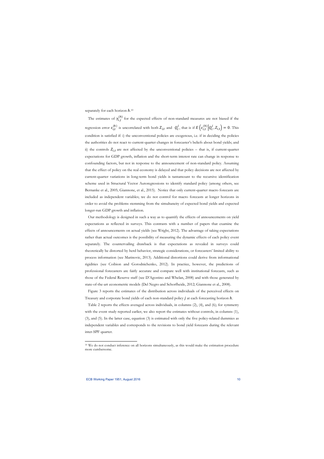separately for each horizon  $h^{10}$ 

The estimates of  $\gamma_{i,j}^{(h)}$  for the expected effects of non-standard measures are not biased if the regression error  $\varepsilon_{i,t}^{(h)}$  is uncorrelated with both  $Z_{i,t}$  and  $Q_t^j$ , that is if  $E\left(\varepsilon_{i,t}^{(h)}\middle|Q_t^j, Z_{i,t}\right) = 0$ . This condition is satisfied if: i) the unconventional policies are exogenous, i.e. if in deciding the policies the authorities do not react to current-quarter changes in forecaster's beliefs about bond yields; and ii) the controls  $Z_{i,t}$  are not affected by the unconventional policies – that is, if current-quarter expectations for GDP growth, inflation and the short-term interest rate can change in response to confounding factors, but not in response to the announcement of non-standard policy. Assuming that the effect of policy on the real economy is delayed and that policy decisions are not affected by current-quarter variations in long-term bond yields is tantamount to the recursive identification scheme used in Structural Vector Autoregressions to identify standard policy (among others, see Bernanke et al., 2005; Giannone, et al., 2015). Notice that only current-quarter macro forecasts are included as independent variables; we do not control for macro forecasts at longer horizons in order to avoid the problems stemming from the simultaneity of expected bond yields and expected longer-run GDP growth and inflation.

Our methodology is designed in such a way as to quantify the effects of announcements on yield expectations as reflected in surveys. This contrasts with a number of papers that examine the effects of announcements on actual yields (see Wright, 2012). The advantage of taking expectations rather than actual outcomes is the possibility of measuring the dynamic effects of each policy event separately. The countervailing drawback is that expectations as revealed in surveys could theoretically be distorted by herd behavior, strategic considerations, or forecasters' limited ability to process information (see Marinovic, 2013). Additional distortions could derive from informational rigidities (see Coibion and Gorodnichenko, 2012). In practice, however, the predictions of professional forecasters are fairly accurate and compare well with institutional forecasts, such as those of the Federal Reserve staff (see D'Agostino and Whelan, 2008) and with those generated by state-of-the-art econometric models (Del Negro and Schorfheide, 2012; Giannone et al., 2008).

Figure 3 reports the estimates of the distribution across individuals of the perceived effects on Treasury and corporate bond yields of each non-standard policy  $j$  at each forecasting horizon  $h$ .

Table 2 reports the effects averaged across individuals, in columns (2), (4), and (6); for symmetry with the event study reported earlier, we also report the estimates without controls, in columns (1), (3), and (5). In the latter case, equation (3) is estimated with only the five policy-related dummies as independent variables and corresponds to the revisions to bond yield forecasts during the relevant inter-SPF quarter.

<sup>&</sup>lt;sup>10</sup> We do not conduct inference on all horizons simultaneously, as this would make the estimation procedure more cumbersome.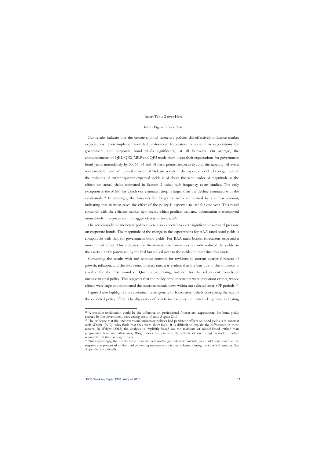### Insert Table 2 over Here

#### Insert Figure 3 over Here

Our results indicate that the unconventional monetary policies did effectively influence market expectations. Their implementation led professional forecasters to revise their expectations for government and corporate bond yields significantly, at all horizons. On average, the announcements of QE1, QE2, MEP and QE3 made them lower their expectations for government bond yields immediately by 55, 66, 84 and 58 basis points, respectively, and the tapering-off event was associated with an upward revision of 56 basis points in the expected yield. The magnitude of the revisions of current-quarter expected yields is of about the same order of magnitude as the effects on actual yields estimated in Section 2 using high-frequency event studies. The only exception is the MEP, for which our estimated drop is larger than the decline estimated with the event-study.11 Interestingly, the forecasts for longer horizons are revised by a similar amount, indicating that in most cases the effect of the policy is expected to last for one year. This result concords with the efficient market hypothesis, which predicts that new information is transposed immediately into prices with no lagged effects or reversals.12

The accommodative monetary policies were also expected to exert significant downward pressure on corporate bonds. The magnitude of the change in the expectations for AAA-rated bond yields is comparable with that for government bond yields. For BAA-rated bonds, forecasters expected a more muted effect. This indicates that the non-standard measures not only reduced the yields on the assets directly purchased by the Fed but spilled over to the yields on other financial assets.

Comparing the results with and without controls for revisions to current-quarter forecasts of growth, inflation, and the short-term interest rate, it is evident that the bias due to this omission is sizeable for the first round of Quantitative Easing, but not for the subsequent rounds of unconventional policy. This suggests that the policy announcements were important events, whose effects were large and dominated the macroeconomic news within our selected inter-SPF periods.13

Figure 3 also highlights the substantial heterogeneity of forecasters' beliefs concerning the size of the expected policy effect. The dispersion of beliefs increases as the horizon lengthens, indicating

l

<sup>11</sup> A possible explanation could be the influence on professional forecasters' expectations for bond yields exerted by the government debt-ceiling crisis of early August 2011. 12 The evidence that the unconventional monetary policies had persistent effects on bond yields is in contrast

with Wright (2012), who finds that they were short-lived. It is difficult to explain the differences in these results. In Wright (2012) the analysis is implicitly based on the revisions of model-based, rather than judgmental, forecasts. Moreover, Wright does not quantify the effects of each single round of policy separately but their average effects.

<sup>&</sup>lt;sup>13</sup> Not surprisingly, the results remain qualitatively unchanged when we include, as an additional control, the surprise component of all the market-moving macroeconomic data released during the inter-SPF quarter. See Appendix 2 for details.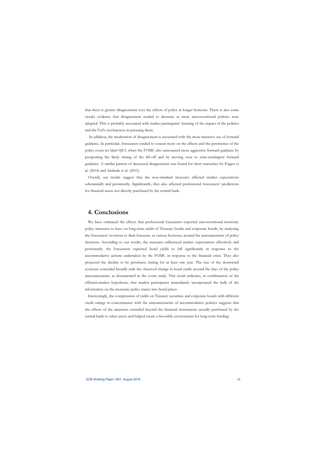that there is greater disagreement over the effects of policy at longer horizons. There is also some (weak) evidence that disagreement tended to decrease as more unconventional policies were adopted. This is probably associated with market participants' learning of the impact of the policies and the Fed's resoluteness in pursuing them.

 In addition, the moderation of disagreement is associated with the more intensive use of forward guidance. In particular, forecasters tended to concur more on the effects and the persistence of the policy event we label QE3, when the FOMC also announced more aggressive forward guidance by postponing the likely timing of the lift-off and by moving over to state-contingent forward guidance. A similar pattern of decreased disagreement was found for short maturities by Engen et al. (2014) and Andrade et al. (2015).

Overall, our results suggest that the non-standard measures affected market expectations substantially and persistently. Significantly, they also affected professional forecasters' predictions for financial assets not directly purchased by the central bank.

## **4. Conclusions**

We have estimated the effects that professional forecasters expected unconventional monetary policy measures to have on long-term yields of Treasury bonds and corporate bonds, by analyzing the forecasters' revisions to their forecasts, at various horizons, around the announcement of policy decisions. According to our results, the measures influenced market expectations effectively and persistently: the forecasters expected bond yields to fall significantly in response to the accommodative actions undertaken by the FOMC in response to the financial crisis. They also projected the decline to be persistent, lasting for at least one year. The size of the downward revisions coincided broadly with the observed change in bond yields around the days of the policy announcements, as documented in the event study. This result indicates, in confirmation of the efficient-market hypothesis, that market participants immediately incorporated the bulk of the information on the monetary policy stance into bond prices.

Interestingly, the compression of yields on Treasury securities and corporate bonds with different credit ratings in concomitance with the announcements of accommodative policies suggests that the effects of the measures extended beyond the financial instruments actually purchased by the central bank to other assets and helped create a favorable environment for long-term funding.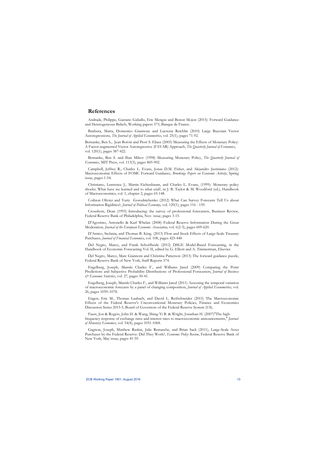## **References**

Andrade, Philippe, Gaetano Gaballo, Eric Mengus and Benoıt Mojon (2015): Forward Guidance and Heterogeneous Beliefs, Working papers 573, Banque de France.

Banbura, Marta, Domenico Giannone and Lucrezia Reichlin (2010) Large Bayesian Vector Autoregressions, *The Journal of Applied Econometrics*, vol. 25(1), pages 71-92.

Bernanke, Ben S., Jean Boivin and Piotr S. Eliasz (2005) Measuring the Effects of Monetary Policy: A Factor-augmented Vector Autoregressive (FAVAR) Approach, *The Quarterly Journal of Economics*, vol. 120(1), pages 387-422.

Bernanke, Ben S. and Ilian Mihov (1998) Measuring Monetary Policy, *The Quarterly Journal of Economics*, MIT Press, vol. 113(3), pages 869-902.

Campbell, Jeffrey R., Charles L. Evans, Jonas D.M. Fisher, and Alejandro Justiniano (2012): Macroeconomic Effects of FOMC Forward Guidance, *Brookings Papers on Economic Activity*, Spring issue, pages 1-54.

Christiano, Lawrence J., Martin Eichenbaum, and Charles L. Evans, (1999): Monetary policy shocks: What have we learned and to what end?, in J. B. Taylor & M. Woodford (ed.), Handbook of Macroeconomics, vol. 1, chapter 2, pages 65-148.

Coibion Olivier and Yuriy Gorodnichenko (2012) What Can Survey Forecasts Tell Us about Information Rigidities?, *Journal of Political Economy*, vol. 120(1), pages 116 - 159.

Croushore, Dean (1993) Introducing: the survey of professional forecasters, Business Review, Federal Reserve Bank of Philadelphia, Nov. issue, pages 3-15.

D'Agostino, Antonello & Karl Whelan (2008) Federal Reserve Information During the Great Moderation*, Journal of the European Economic Association,* vol. 6(2-3), pages 609-620.

D'Amico, Stefania, and Thomas B. King. (2013) Flow and Stock Effects of Large-Scale Treasury Purchases, *Journal of Financial Economics*, vol. 108, pages 425-448

Del Negro, Marco, and Frank Schorfheide (2012) DSGE Model-Based Forecasting, in the Handbook of Economic Forecasting Vol. II, edited by G. Elliott and A. Timmerman, Elsevier.

Del Negro, Marco, Marc Giannoni and Christina Patterson (2013) The forward guidance puzzle, Federal Reserve Bank of New York, Staff Reports 574.

Engelberg, Joseph, Manski Charles F., and Williams Jared (2009) Comparing the Point Predictions and Subjective Probability Distributions of Professional Forecasters, *Journal of Business & Economic Statistics*, vol. 27, pages 30-41.

Engelberg, Joseph, Manski Charles F., and Williams Jared (2011) Assessing the temporal variation of macroeconomic forecasts by a panel of changing composition, *Journal of Applied Econometrics*, vol. 26, pages 1059–1078.

Engen, Eric M., Thomas Laubach, and David L. Reifschneider (2015) The Macroeconomic Effects of the Federal Reserve's Unconventional Monetary Policies, Finance and Economics Discussion Series 2015-5, Board of Governors of the Federal Reserve System (US).

Faust, Jon & Rogers, John H. & Wang, Shing-Yi B. & Wright, Jonathan H. (2007)"The highfrequency response of exchange rates and interest rates to macroeconomic announcements," *Journal of Monetary Economics*, vol. 54(4), pages 1051-1068.

Gagnon, Joseph, Matthew Raskin, Julie Remasche, and Brian Sack (2011), Large-Scale Asset Purchases by the Federal Reserve: Did They Work?, *Economic Policy Review*, Federal Reserve Bank of New York, May issue, pages 41-59.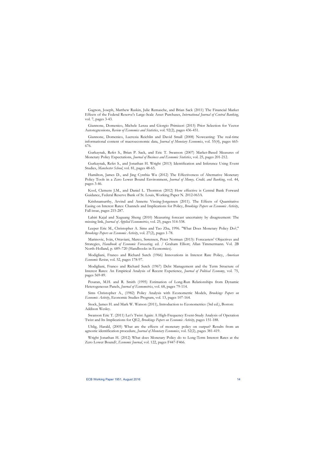Gagnon, Joseph, Matthew Raskin, Julie Remasche, and Brian Sack (2011) The Financial Market Effects of the Federal Reserve's Large-Scale Asset Purchases, *International Journal of Central Banking*, vol. 7, pages 3-43.

Giannone, Domenico, Michele Lenza and Giorgio Primiceri (2015) Prior Selection for Vector Autoregressions, *Review of Economics and Statistics*, vol. 92(2), pages 436-451.

Giannone, Domenico, Lucrezia Reichlin and David Small (2008) Nowcasting: The real-time informational content of macroeconomic data, *Journal of Monetary Economics*, vol. 55(4), pages 665- 676.

Gurkaynak, Refet S., Brian P. Sack, and Eric T. Swanson (2007) Market-Based Measures of Monetary Policy Expectations, *Journal of Business and Economic Statistics*, vol. 25, pages 201-212.

Gurkaynak, Refet S., and Jonathan H. Wright (2013) Identification and Inference Using Event Studies, *Manchester School*, vol. 81, pages 48-65.

Hamilton, James D., and Jing Cynthia Wu (2012) The Effectiveness of Alternative Monetary Policy Tools in a Zero Lower Bound Environment, *Journal of Money, Credit, and Banking*, vol. 44, pages 3-46.

Kool, Clemens J.M., and Daniel L. Thornton (2012) How effective is Central Bank Forward Guidance, Federal Reserve Bank of St. Louis, Working Paper N. 2012-063A.

Krishnamurthy, Arvind and Annette Vissing-Jorgensen (2011). The Effects of Quantitative Easing on Interest Rates: Channels and Implications for Policy, *Brookings Papers on Economic Activity*, Fall issue, pages 215-287.

Lahiri Kajal and Xuguang Sheng (2010) Measuring forecast uncertainty by disagreement: The missing link, *Journal of Applied Econometrics*, vol. 25, pages 514-538.

Leeper Eric M., Christopher A. Sims and Tao Zha, 1996. "What Does Monetary Policy Do?," *Brookings Papers on Economic Activity*, vol. 27(2), pages 1-78.

Marinovic, Iván, Ottaviani, Marco, Sørensen, Peter Norman (2013): Forecasters' Objectives and Strategies, *Handbook of Economic Forecasting*. ed. / Graham Elliott; Allan Timmermann. Vol. 2B North-Holland, p. 689–720 (Handbooks in Economics).

Modigliani, Franco and Richard Sutch (1966) Innovations in Interest Rate Policy, *American Economic Review*, vol. 52, pages 178-97.

Modigliani, Franco and Richard Sutch (1967) Debt Management and the Term Structure of Interest Rates: An Empirical Analysis of Recent Experience, *Journal of Political Economy*, vol. 75, pages 569-89.

Pesaran, M.H. and R. Smith (1995) Estimation of Long-Run Relationships from Dynamic Heterogeneous Panels, *Journal of Econometrics*, vol. 68, pages 79-114.

Sims Christopher A., (1982) Policy Analysis with Econometric Models, *Brookings Papers on Economic Activity*, Economic Studies Program, vol. 13, pages 107-164.

Stock, James H. and Mark W. Watson (2011), Introduction to Econometrics (3rd ed.), Boston: Addison Wesley.

Swanson Eric T. (2011) Let's Twist Again: A High-Frequency Event-Study Analysis of Operation Twist and Its Implications for QE2, *Brookings Papers on Economic Activity*, pages 151-188.

Uhlig, Harald, (2005) What are the effects of monetary policy on output? Results from an agnostic identification procedure, *Journal of Monetary Economics*, vol. 52(2), pages 381-419.

Wright Jonathan H. (2012) What does Monetary Policy do to Long-Term Interest Rates at the Zero Lower Bound?, *Economic Journal*, vol. 122, pages F447-F466.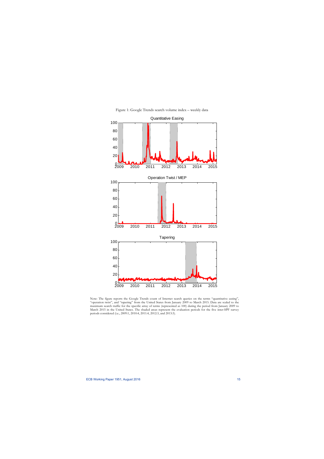

Figure 1: Google Trends search volume index – weekly data

Note: The figure reports the Google Trends count of Internet search queries on the terms "quantitative easing", "operation twist", and "tapering" from the United States from January 2009 to March 2015. Data are scaled to the maximum search traffic for the specific array of terms (represented as 100) during the period from January 2009 to March 2015 in the United States. The shaded areas represent the evaluation periods for the five inter-SPF survey periods considered (i.e., 2009:1, 2010:4, 2011:4, 2012:3, and 2013:3).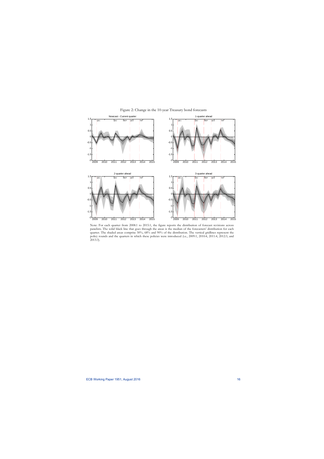

Figure 2: Change in the 10-year Treasury bond forecasts

Note: For each quarter from 2008:1 to 2015:1, the figure reports the distribution of forecast revisions across panelists. The solid black line that goes through the areas is the median of the forecasters' distribution for each quarter. The shaded areas comprise 50%, 68% and 90% of the distribution. The vertical gridlines represent the policy rounds and the quarters in which these policies were introduced (i.e., 2009:1, 2010:4, 2011:4, 2012:3, and 2013:3).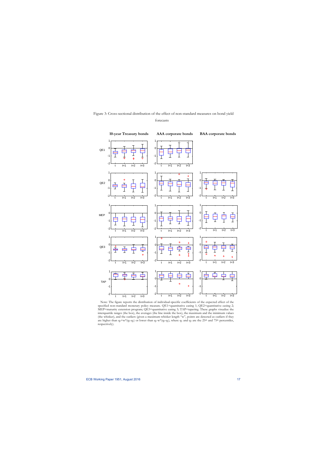## Figure 3: Cross-sectional distribution of the effect of non-standard measures on bond yield forecasts



Note: The figure reports the distribution of individual-specific coefficients of the expected effect of the specified non-standard monetary policy measure. QE1=quantitative easing 1; QE2=quantitative easing 2; MEP=maturity extension program; QE3=quantitative easing 3; TAP=tapering. These graphs visualize the interquartile ranges (the box), the averages (the line inside the box), the maximum and the minimum values (the whisker), and the outliers (given a maximum whisker length "w", points are detected as outliers if they are higher than  $q_3+w^*(q_3-q_1)$  or lower than  $q_1-w^*(q_3-q_1)$ , where  $q_1$  and  $q_3$  are the 25<sup>th</sup> and 75<sup>th</sup> percentiles, respectively).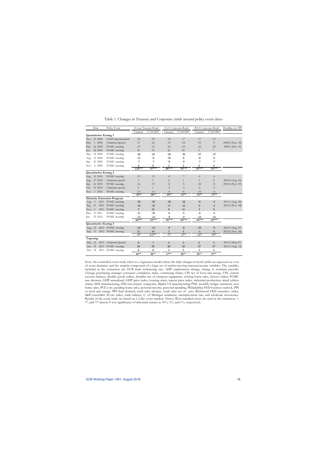| Date                         | Policy Event                      | 10-year Treasury Bond |                   | AAA Corporate Bond |                | <b>BAA</b> Corporate Bond |                   | Deadline for SPF |
|------------------------------|-----------------------------------|-----------------------|-------------------|--------------------|----------------|---------------------------|-------------------|------------------|
|                              |                                   | Classical             | Controlled        | Classical          | Controlled     | Classical                 | Controlled        |                  |
| <b>Quantitative Easing 1</b> |                                   |                       |                   |                    |                |                           |                   |                  |
| Nov. 25 2008                 | LSAP announcement                 | $-34$                 | $-30$             | $-18$              | $-17$          | $-17$                     | $-15$             |                  |
| 1 2008<br>Dec.               | Chairman Speech                   | $-27$                 | $-24$             | $-19$              | $-18$          | $-10$                     | $-9$              | 2008:4 (Nov. 18) |
| 16 2008<br>Dec.              | FOMC meeting                      | $-33$                 | $-25$             | $-25$              | $-23$          | $-23$                     | $-20$             | 2009:1 (Feb. 10) |
| 28 2009<br>Jan.              | FOMC meeting                      | 30                    | 33                | 26                 | 29             | 5                         | $\overline{7}$    |                  |
| 18 2009<br>Mar.              | FOMC meeting                      | $-40$                 | $-42$             | $-34$              | $-35$          | $-27$                     | $-27$             |                  |
| 12 2009<br>Aug.              | FOMC meeting                      | $-11$                 | $-8$              | $-10$              | $-6$           | -8                        | $-6$              |                  |
| 23 2009<br>Sep.              | FOMC meeting                      | $-7$                  | $-7$              | -8                 | -9             | $-7$                      | $-7$              |                  |
| Nov. 4 2009                  | FOMC meeting                      | 6                     | 6                 | 2                  | $\overline{2}$ | 0                         | 0                 |                  |
|                              |                                   | $-116***$             | $-97***$          | $-86***$           | $-76***$       | $-87***$                  | $-76***$          |                  |
| <b>Quantitative Easing 2</b> |                                   |                       |                   |                    |                |                           |                   |                  |
| Aug. 10 2010                 | FOMC meeting                      | $-15$                 | $-13$             | $-8$               | $-7$           | $-6$                      | $-6$              |                  |
| 27 2010<br>Aug.              | Chairman speech                   | 5                     | 3                 | 2                  | $\mathbf{1}$   | 3                         | $\overline{2}$    | 2010:3 (Aug. 10) |
| 21 2010<br>Sep.              | FOMC meeting                      | $-14$                 | $-15$             | $-8$               | $-9$           | $-10$                     | $-11$             | 2010:4 (Nov. 09) |
| 15 2010<br>Oct.              | Chairman speech                   | $\overline{0}$        | $\mathbf{1}$      | $-2$               | $-3$           | $-2$                      | $-2$              |                  |
| Nov. 3 2010                  | FOMC meeting                      | $-13$                 | $-13$             | $-8$               | $-8$           | $-10$                     | $-11$             |                  |
|                              |                                   | $-36***$              | $-38**$           | $-24**$            | $-25**$        | $-25***$                  | $-27**$           |                  |
|                              | <b>Maturity Extension Program</b> |                       |                   |                    |                |                           |                   |                  |
| 2011<br>Aug. 9               | FOMC meeting                      | $-20$                 | $-20$             | $-16$              | $-16$          | $-6$                      | $-6$              | 2011:3 (Aug. 08) |
| Sep. 21<br>2011              | FOMC meeting                      | $-23$                 | $-25$             | $-9$               | $-11$          | 0                         | $-2$              | 2011:4 (Nov. 08) |
| Nov. 2<br>2011               | FOMC meeting                      | $\overline{7}$        | 15                | 6                  | 11             | $\overline{2}$            | 6                 |                  |
| Dec. 13 2011                 | FOMC meeting                      | $-11$                 | $-10$             | $-6$               | $-5$           | $-6$                      | $-4$              |                  |
| 25 2012<br>Jan.              | FOMC meeting                      | $-13$<br>$-60***$     | $-14$<br>$-54***$ | $-9$<br>$-35***$   | -9<br>$-29***$ | $-14$<br>$-24***$         | $-15$<br>$-22***$ |                  |
| <b>Quantitative Easing 3</b> |                                   |                       |                   |                    |                |                           |                   |                  |
| Aug. 22                      | 2012 FOMC meeting                 | $-14$                 | $-13$             | $-9$               | $-8$           | $-10$                     | $-9$              | 2012:3 (Aug. 07) |
| Sep. 13                      | 2012 FOMC meeting                 | 11                    | 14                | $\overline{2}$     | 5              | $-1$                      | $\mathbf{0}$      | 2012:4 (Nov. 06) |
|                              |                                   | $-4*$                 | $0.3***$          | $-7*$              | $-2**$         | $-11*$                    | $-9**$            |                  |
| Tapering                     |                                   |                       |                   |                    |                |                           |                   |                  |
| May 22<br>2013               | Chairman Speech                   | 8                     | $\overline{7}$    | $\overline{4}$     | 3              | 5                         | 5                 | 2013:2 (May 07)  |
| $\text{Jun } 19$<br>2013     | FOMC meeting                      | 24                    | 23                | 20                 | 19             | 27                        | 27                | 2013:3 (Aug. 12) |
| Dec 18<br>2013               | FOMC meeting                      | 8                     | 8                 | 3                  | 5              | 3                         | 5                 |                  |
|                              |                                   | $40**$                | 38**              | $27***$            | 28**           | $36***$                   | $37***$           |                  |
|                              |                                   |                       |                   |                    |                |                           |                   |                  |

Table 1: Changes in Treasury and Corporate yields around policy event dates

Note: the controlled event study refers to a regression model where the daily changes in bond yields are regressed on a set of event dummies and the surprise component of a large set of market-moving macroeconomic variables. The variables included in the estimation are: ECB main refinancing rate, ADP employment change, change in nonfarm payrolls, Chicago purchasing manager consumer confidence index, continuing claims, CPI net of food and energy, CPI, current account balance, durable goods orders, durables net of transport equipment, existing home sales, factory orders, FOMC rate decision, GDP annualized, GDP price index, housing starts, import price index, industrial production, initial jobless claims, ISM manufacturing, ISM non-manuf. composite, Markit US manufacturing PMI, monthly budget statement, new home sales, PCE core, pending home sales, personal income, personal spending, Philadelphia FED business outlook, PPI ex food and energy, PPI final demand, retail sales advance, retail sales net of auto, Richmond FED manufact. index, S&P/caseshiller 20-city index, trade balance, U. of Michigan sentiment, unemployment rate, and wholesale inventories. Results of the event study are based on a 2-day event window. Newey-West standard errors are used in the estimation. \*, \*\*, and \*\*\* denote F-test significance of abnormal returns at 10%, 5%, and 1%, respectively.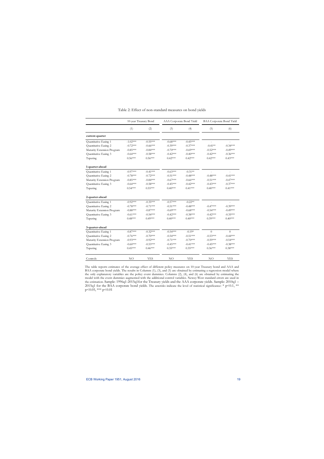|                            | 10-year Treasury Bond |                            | AAA Corporate Bond Yield |            | <b>BAA Corporate Bond Yield</b> |            |  |
|----------------------------|-----------------------|----------------------------|--------------------------|------------|---------------------------------|------------|--|
|                            | (1)                   | (2)                        | (3)                      | (4)        | (5)                             | (6)        |  |
| current-quarter            |                       |                            |                          |            |                                 |            |  |
| Quantitative Easing 1      | $-1.02***$            | $-0.55***$                 | $-0.68***$               | $-0.45***$ |                                 |            |  |
| Quantitative Easing 2      | $-0.72***$            | $-0.66***$                 | $-0.39***$               | $-0.37***$ | $-0.41**$                       | $-0.34***$ |  |
| Maturity Extension Program | $-0.85***$            | $-0.84***$                 | $-0.70***$               | $-0.69***$ | $-0.52***$                      | $-0.49***$ |  |
| Quantitative Easing 3      | $-0.64***$            | $-0.58***$                 | $-0.42***$               | $-0.40***$ | $-0.42***$                      | $-0.36***$ |  |
| Tapering                   | $0.56***$             | $0.56***$                  | $0.42***$                | $0.42***$  | $0.42***$                       | $0.43***$  |  |
| 1-quarter-ahead            |                       |                            |                          |            |                                 |            |  |
| Quantitative Easing 1      | $-0.97***$            | $-0.41***$                 | $-0.63***$               | $-0.31**$  |                                 |            |  |
| Quantitative Easing 2      | $-0.78***$            | $-0.72***$                 | $-0.51***$               | $-0.48***$ | $-0.48***$                      | $-0.41***$ |  |
| Maturity Extension Program | $-0.85***$            | $-0.84***$                 | $-0.67***$               | $-0.66***$ | $-0.51***$                      | $-0.47***$ |  |
| Quantitative Easing 3      | $-0.64***$            | $-0.58***$                 | $-0.45***$               | $-0.42***$ | $-0.43***$                      | $-0.37***$ |  |
| Tapering                   | $0.54***$             | $0.55***$                  | $0.40***$                | $0.41***$  | $0.40***$                       | $0.41***$  |  |
| 2-quarter-ahead            |                       |                            |                          |            |                                 |            |  |
| Quantitative Easing 1      | $-0.92***$            | $-0.35***$                 | $-0.57***$               | $-0.22**$  |                                 |            |  |
| Quantitative Easing 2      | $-0.78***$            | $-0.71***$                 | $-0.51***$               | $-0.48***$ | $-0.47***$                      | $-0.39***$ |  |
| Maturity Extension Program | $-0.88***$            | $-0.87***$                 | $-0.69***$               | $-0.68***$ | $-0.54***$                      | $-0.49***$ |  |
| Quantitative Easing 3      | $-0.61***$            | $-0.54***$                 | $-0.42***$               | $-0.38***$ | $-0.42***$                      | $-0.35***$ |  |
| Tapering                   | $0.48***$             | $0.49^{*\!\times\!\times}$ | $0.40***$                | $0.40***$  | $0.39***$                       | $0.40***$  |  |
| 3-quarter-ahead            |                       |                            |                          |            |                                 |            |  |
| Quantitative Easing 1      | $-0.87***$            | $-0.32***$                 | $-0.54***$               | $-0.19*$   | $\overline{0}$                  | $\theta$   |  |
| Quantitative Easing 2      | $-0.76***$            | $-0.70***$                 | $-0.54***$               | $-0.51***$ | $-0.53***$                      | $-0.44***$ |  |
| Maturity Extension Program | $-0.93***$            | $-0.92***$                 | $-0.71***$               | $-0.70***$ | $-0.59***$                      | $-0.54***$ |  |
| Quantitative Easing 3      | $-0.60***$            | $-0.53***$                 | $-0.45***$               | $-0.41***$ | $-0.45***$                      | $-0.38***$ |  |
| Tapering                   | $0.45***$             | $0.46***$                  | $0.35***$                | $0.35***$  | $0.36***$                       | $0.38***$  |  |
| Controls                   | NO                    | <b>YES</b>                 | NO                       | <b>YES</b> | NO                              | <b>YES</b> |  |

## Table 2: Effect of non-standard measures on bond yields

The table reports estimates of the average effect of different policy measures on 10-year Treasury bond and AAA and BAA corporate bond yields. The results in Columns (1), (3), and (5) are obtained by estimating a regression model where the only explanatory variables are the policy event dummies. Columns (2), (4), and (6) are obtained by estimating the model with the event dummies augmented with the additional control variables. Newey-West standard errors are used in the estimation. Sample: 1996q1-2015q1for the Treasury yields and the AAA corporate yields. Sample: 2010q1 – 2015q1 for the BAA corporate bond yields. The asterisks indicate the level of statistical significance: \* p<0.1, \*\*  $p<0.05$ , \*\*\*  $p<0.01$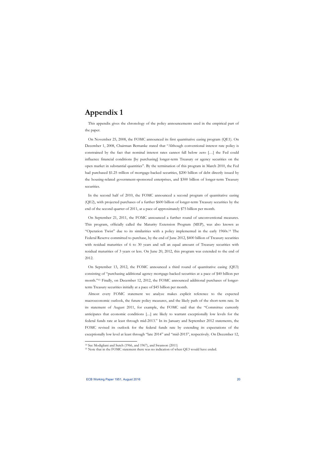## **Appendix 1**

This appendix gives the chronology of the policy announcements used in the empirical part of the paper.

On November 25, 2008, the FOMC announced its first quantitative easing program (QE1). On December 1, 2008, Chairman Bernanke stated that "Although conventional interest rate policy is constrained by the fact that nominal interest rates cannot fall below zero […] the Fed could influence financial conditions [by purchasing] longer-term Treasury or agency securities on the open market in substantial quantities". By the termination of this program in March 2010, the Fed had purchased \$1.25 trillion of mortgage-backed securities, \$200 billion of debt directly issued by the housing-related government-sponsored enterprises, and \$300 billion of longer-term Treasury securities.

In the second half of 2010, the FOMC announced a second program of quantitative easing (QE2), with projected purchases of a further \$600 billion of longer-term Treasury securities by the end of the second quarter of 2011, at a pace of approximately \$75 billion per month.

On September 21, 2011, the FOMC announced a further round of unconventional measures. This program, officially called the Maturity Extension Program (MEP), was also known as "Operation Twist" due to its similarities with a policy implemented in the early 1960s.14 The Federal Reserve committed to purchase, by the end of June 2012, \$400 billion of Treasury securities with residual maturities of 6 to 30 years and sell an equal amount of Treasury securities with residual maturities of 3 years or less. On June 20, 2012, this program was extended to the end of 2012.

On September 13, 2012, the FOMC announced a third round of quantitative easing (QE3) consisting of "purchasing additional agency mortgage-backed securities at a pace of \$40 billion per month."15 Finally, on December 12, 2012, the FOMC announced additional purchases of longerterm Treasury securities initially at a pace of \$45 billion per month.

Almost every FOMC statement we analyze makes explicit reference to the expected macroeconomic outlook, the future policy measures, and the likely path of the short-term rate. In its statement of August 2011, for example, the FOMC said that the "Committee currently anticipates that economic conditions [....] are likely to warrant exceptionally low levels for the federal funds rate at least through mid-2013." In its January and September 2012 statements, the FOMC revised its outlook for the federal funds rate by extending its expectations of the exceptionally low level at least through "late 2014" and "mid-2015", respectively. On December 12,

<sup>&</sup>lt;sup>14</sup> See Modigliani and Sutch (1966, and 1967), and Swanson (2011)<br><sup>15</sup> Note that in the FOMC statement there was no indication of when QE3 would have ended.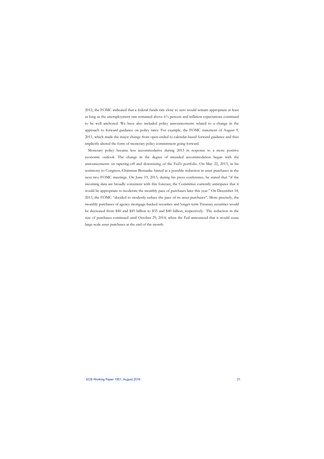2012, the FOMC indicated that a federal funds rate close to zero would remain appropriate at least as long as the unemployment rate remained above  $6\frac{1}{2}$  percent and inflation expectations continued to be well anchored. We have also included policy announcements related to a change in the approach to forward guidance on policy rates. For example, the FOMC statement of August 9, 2011, which made the major change from open-ended to calendar-based forward guidance and thus implicitly altered the form of monetary policy commitment going forward.

Monetary policy became less accommodative during 2013 in response to a more positive economic outlook. The change in the degree of intended accommodation began with the announcements on tapering-off and downsizing of the Fed's portfolio. On May 22, 2013, in his testimony to Congress, Chairman Bernanke hinted at a possible reduction in asset purchases in the next two FOMC meetings. On June 19, 2013, during his press conference, he stated that "if the incoming data are broadly consistent with this forecast, the Committee currently anticipates that it would be appropriate to moderate the monthly pace of purchases later this year." On December 18, 2013, the FOMC "decided to modestly reduce the pace of its asset purchases". More precisely, the monthly purchases of agency mortgage-backed securities and longer-term Treasury securities would be decreased from \$40 and \$45 billion to \$35 and \$40 billion, respectively. The reduction in the size of purchases continued until October 29, 2014, when the Fed announced that it would cease large-scale asset purchases at the end of the month.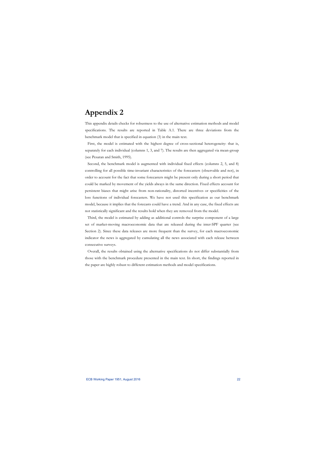## **Appendix 2**

This appendix details checks for robustness to the use of alternative estimation methods and model specifications. The results are reported in Table A.1. There are three deviations from the benchmark model that is specified in equation (3) in the main text.

First, the model is estimated with the highest degree of cross-sectional heterogeneity: that is, separately for each individual (columns 1, 3, and 7). The results are then aggregated via mean-group (see Pesaran and Smith, 1995).

Second, the benchmark model is augmented with individual fixed effects (columns 2, 5, and 8) controlling for all possible time-invariant characteristics of the forecasters (observable and not), in order to account for the fact that some forecasters might be present only during a short period that could be marked by movement of the yields always in the same direction. Fixed effects account for persistent biases that might arise from non-rationality, distorted incentives or specificities of the loss functions of individual forecasters. We have not used this specification as our benchmark model, because it implies that the forecasts could have a trend. And in any case, the fixed effects are not statistically significant and the results hold when they are removed from the model.

Third, the model is estimated by adding as additional controls the surprise component of a large set of market-moving macroeconomic data that are released during the inter-SPF quarter (see Section 2). Since these data releases are more frequent than the survey, for each macroeconomic indicator the news is aggregated by cumulating all the news associated with each release between consecutive surveys.

Overall, the results obtained using the alternative specifications do not differ substantially from those with the benchmark procedure presented in the main text. In short, the findings reported in the paper are highly robust to different estimation methods and model specifications.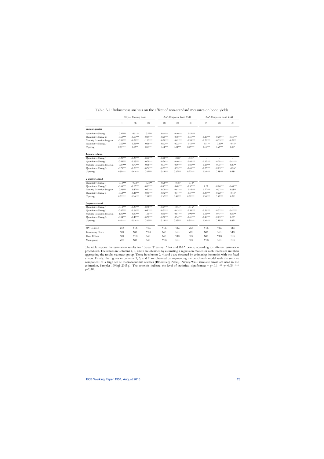|                            | 10-year Treasury Bond |            |            |            | AAA Corporate Bond Yield |            |                | <b>BAA Corporate Bond Yield</b> |            |  |
|----------------------------|-----------------------|------------|------------|------------|--------------------------|------------|----------------|---------------------------------|------------|--|
|                            | (1)                   | (2)        | (3)        | (4)        | (5)                      | (6)        | (7)            | (8)                             | (9)        |  |
| current-quarter            |                       |            |            |            |                          |            |                |                                 |            |  |
| Quantitative Easing 1      | $-0.32***$            | $-0.51**$  | $-0.57**$  | $-0.44***$ | $-0.40***$               | $-0.43***$ |                | ä,                              |            |  |
| Quantitative Easing 2      | $-0.60***$            | $-0.60***$ | $-0.69***$ | $-0.25***$ | $-0.30***$               | $-0.31***$ | $-0.19***$     | $-0.20***$                      | $-0.33***$ |  |
| Maturity Extension Program | $-0.86***$            | $-0.78***$ | $-1.05***$ | $-0.70***$ | $-0.62***$               | $-0.95***$ | $-0.20***$     | $-0.35***$                      | $-0.28**$  |  |
| Quantitative Easing 3      | $-0.66***$            | $-0.51***$ | $-0.56***$ | $-0.62***$ | $-0.32***$               | $-0.43***$ | $-0.51**$      | $-0.21**$                       | $-0.45*$   |  |
| Tapering                   | $0.61***$             | $0.65**$   | $0.43**$   | $0.44***$  | $0.54***$                | $0.27***$  | $0.43***$      | $0.63***$                       | $0.19*$    |  |
| 1-quarter-ahead            |                       |            |            |            |                          |            |                |                                 |            |  |
| Quantitative Easing 1      | $-0.20***$            | $-0.38***$ | $-0.46***$ | $-0.28***$ | $-0.28*$                 | $-0.31*$   |                |                                 |            |  |
| Quantitative Easing 2      | $-0.66***$            | $-0.65***$ | $-0.78***$ | $-0.36***$ | $-0.40***$               | $-0.46***$ | $-0.17***$     | $-0.28***$                      | $-0.42***$ |  |
| Maturity Extension Program | $-0.87***$            | $-0.79***$ | $-0.98***$ | $-0.71***$ | $-0.59***$               | $-0.81***$ | $-0.18***$     | $-0.35***$                      | $-0.47**$  |  |
| Quantitative Easing 3      | $-0.70***$            | $-0.50***$ | $-0.56***$ | $-0.65***$ | $-0.35***$               | $-0.45***$ | $-0.55***$     | $-0.25***$                      | $-0.26*$   |  |
| Tapering                   | $0.59***$             | $0.63***$  | $0.42***$  | $0.43***$  | $0.49***$                | $0.27***$  | $0.39***$      | $0.58***$                       | $0.38*$    |  |
| 2-quarter-ahead            |                       |            |            |            |                          |            |                |                                 |            |  |
| Quantitative Easing 1      | $-0.18***$            | $-0.32**$  | $-0.39**$  | $-0.28***$ | $-0.18*$                 | $-0.18*$   | $\overline{a}$ | ÷,                              |            |  |
| Quantitative Easing 2      | $-0.66***$            | $-0.65***$ | $-0.81***$ | $-0.45***$ | $-0.40***$               | $-0.52***$ | 0.01           | $-0.26***$                      | $-0.40***$ |  |
| Maturity Extension Program | $-0.94***$            | $-0.82***$ | $-0.97***$ | $-0.78***$ | $-0.62***$               | $-0.85***$ | $-0.22***$     | $-0.37***$                      | $-0.68**$  |  |
| Quantitative Easing 3      | $-0.64***$            | $-0.46***$ | $-0.50***$ | $-0.62***$ | $-0.31***$               | $-0.37***$ | $-0.47***$     | $-0.22***$                      | $-0.13*$   |  |
| Tapering                   | $0.52***$             | $0.56***$  | $0.39***$  | $0.37***$  | $0.48***$                | $0.31***$  | $0.38***$      | $0.57***$                       | $0.38*$    |  |
| 3-quarter-ahead            |                       |            |            |            |                          |            |                |                                 |            |  |
| Quantitative Easing 1      | $-0.18***$            | $-0.30***$ | $-0.38***$ | $-0.27***$ | $-0.14*$                 | $-0.16*$   |                |                                 |            |  |
| Quantitative Easing 2      | $-0.62***$            | $-0.64***$ | $-0.81***$ | $-0.51***$ | $-0.43***$               | $-0.58***$ | $-0.16***$     | $-0.32***$                      | $-0.42***$ |  |
| Maturity Extension Program | $-1.00***$            | $-0.87***$ | $-1.05***$ | $-0.85***$ | $-0.64***$               | $-0.90***$ | $-0.36***$     | $-0.41***$                      | $-0.83**$  |  |
| Quantitative Easing 3      | $-0.54***$            | $-0.46***$ | $-0.50***$ | $-0.60***$ | $-0.34***$               | $-0.41***$ | $-0.48***$     | $-0.25***$                      | $0.06*$    |  |
| Tapering                   | $0.48***$             | $0.53***$  | $0.40***$  | $0.28***$  | $0.43***$                | $0.31***$  | $0.36***$      | $0.55***$                       | $0.49*$    |  |
| SPF Controls               | <b>YES</b>            | <b>YES</b> | <b>YES</b> | <b>YES</b> | <b>YES</b>               | <b>YES</b> | <b>YES</b>     | <b>YES</b>                      | <b>YES</b> |  |
| <b>Bloomberg News</b>      | NO                    | NO         | <b>YES</b> | NO         | NO                       | <b>YES</b> | NO             | NO                              | <b>YES</b> |  |
| <b>Fixed Effects</b>       | NO.                   | <b>YES</b> | NO.        | NO         | <b>YES</b>               | NO.        | NO             | <b>YES</b>                      | NO         |  |
| Mean-group                 | <b>YES</b>            | NO         | NO.        | <b>YES</b> | NO                       | NO         | <b>YES</b>     | NO.                             | NO         |  |

| Table A.1: Robustness analysis on the effect of non-standard measures on bond vields |  |  |  |  |  |  |
|--------------------------------------------------------------------------------------|--|--|--|--|--|--|
|--------------------------------------------------------------------------------------|--|--|--|--|--|--|

The table reports the estimation results for 10-year Treasury, AAA and BAA bonds, according to different estimation procedures. The results in Columns 1, 3, and 5 are obtained by estimating a regression model for each forecaster and then aggregating the results via mean-group. Those in columns 2, 4, and 6 are obtained by estimating the model with the fixed effects. Finally, the figures in columns 3, 6, and 9 are obtained by augmenting the benchmark model with the surprise component of a large set of macroeconomic releases (Bloomberg News). Newey-West standard errors are used in the estimation. Sample: 1996q1-2015q1. The asterisks indicate the level of statistical significance: \* p<0.1, \*\* p<0.05, \*\*\* p<0.01.